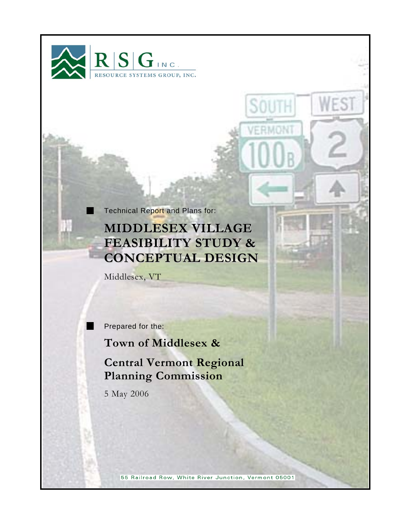

Technical Report and Plans for:

# **MIDDLESEX VILLAGE FEASIBILITY STUDY & CONCEPTUAL DESIGN**

ES

SOUT

RMO

Middlesex, VT

Prepared for the:

٠

**Town of Middlesex &** 

## **Central Vermont Regional Planning Commission**

5 May 2006

55 Railroad Row, White River Junction, Vermont 05001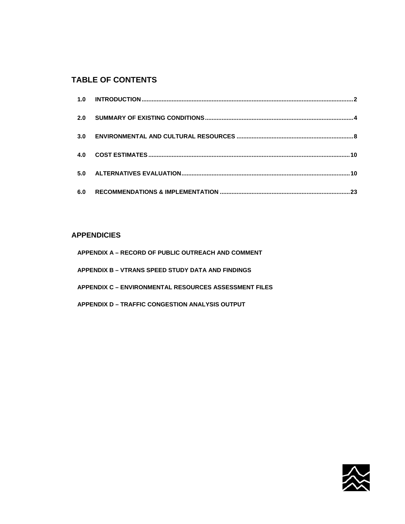## **TABLE OF CONTENTS**

### **APPENDICIES**

| APPENDIX A – RECORD OF PUBLIC OUTREACH AND COMMENT    |
|-------------------------------------------------------|
| APPENDIX B - VTRANS SPEED STUDY DATA AND FINDINGS     |
| APPENDIX C – ENVIRONMENTAL RESOURCES ASSESSMENT FILES |
| APPENDIX D – TRAFFIC CONGESTION ANALYSIS OUTPUT       |

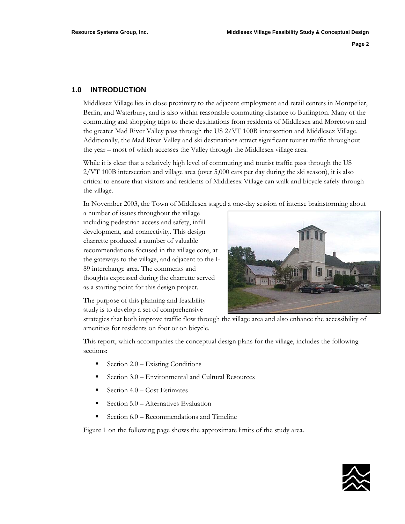#### **1.0 INTRODUCTION**

Middlesex Village lies in close proximity to the adjacent employment and retail centers in Montpelier, Berlin, and Waterbury, and is also within reasonable commuting distance to Burlington. Many of the commuting and shopping trips to these destinations from residents of Middlesex and Moretown and the greater Mad River Valley pass through the US 2/VT 100B intersection and Middlesex Village. Additionally, the Mad River Valley and ski destinations attract significant tourist traffic throughout the year – most of which accesses the Valley through the Middlesex village area.

While it is clear that a relatively high level of commuting and tourist traffic pass through the US 2/VT 100B intersection and village area (over 5,000 cars per day during the ski season), it is also critical to ensure that visitors and residents of Middlesex Village can walk and bicycle safely through the village.

In November 2003, the Town of Middlesex staged a one-day session of intense brainstorming about

a number of issues throughout the village including pedestrian access and safety, infill development, and connectivity. This design charrette produced a number of valuable recommendations focused in the village core, at the gateways to the village, and adjacent to the I-89 interchange area. The comments and thoughts expressed during the charrette served as a starting point for this design project.



The purpose of this planning and feasibility study is to develop a set of comprehensive

strategies that both improve traffic flow through the village area and also enhance the accessibility of amenities for residents on foot or on bicycle.

This report, which accompanies the conceptual design plans for the village, includes the following sections:

- Section 2.0 Existing Conditions
- Section 3.0 Environmental and Cultural Resources
- Section 4.0 Cost Estimates
- Section 5.0 Alternatives Evaluation
- Section 6.0 Recommendations and Timeline

Figure 1 on the following page shows the approximate limits of the study area.

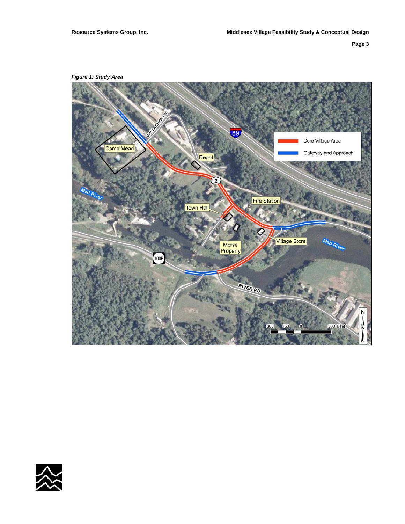*Figure 1: Study Area* 



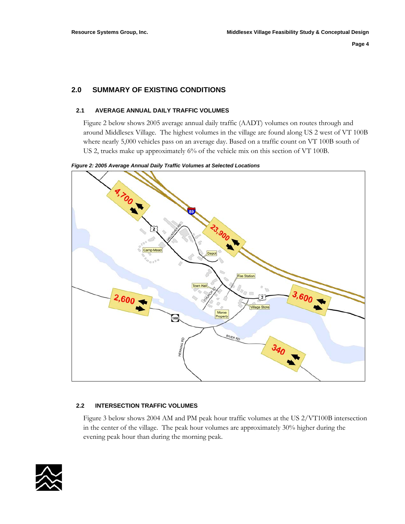#### **2.0 SUMMARY OF EXISTING CONDITIONS**

#### **2.1 AVERAGE ANNUAL DAILY TRAFFIC VOLUMES**

Figure 2 below shows 2005 average annual daily traffic (AADT) volumes on routes through and around Middlesex Village. The highest volumes in the village are found along US 2 west of VT 100B where nearly 5,000 vehicles pass on an average day. Based on a traffic count on VT 100B south of US 2, trucks make up approximately 6% of the vehicle mix on this section of VT 100B.

*Figure 2: 2005 Average Annual Daily Traffic Volumes at Selected Locations* 



#### **2.2 INTERSECTION TRAFFIC VOLUMES**

Figure 3 below shows 2004 AM and PM peak hour traffic volumes at the US 2/VT100B intersection in the center of the village. The peak hour volumes are approximately 30% higher during the evening peak hour than during the morning peak.

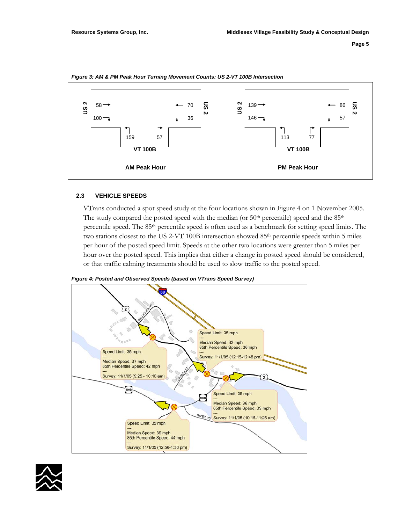

*Figure 3: AM & PM Peak Hour Turning Movement Counts: US 2-VT 100B Intersection* 

#### **2.3 VEHICLE SPEEDS**

VTrans conducted a spot speed study at the four locations shown in Figure 4 on 1 November 2005. The study compared the posted speed with the median (or  $50<sup>th</sup>$  percentile) speed and the  $85<sup>th</sup>$ percentile speed. The 85th percentile speed is often used as a benchmark for setting speed limits. The two stations closest to the US 2-VT 100B intersection showed 85<sup>th</sup> percentile speeds within 5 miles per hour of the posted speed limit. Speeds at the other two locations were greater than 5 miles per hour over the posted speed. This implies that either a change in posted speed should be considered, or that traffic calming treatments should be used to slow traffic to the posted speed.





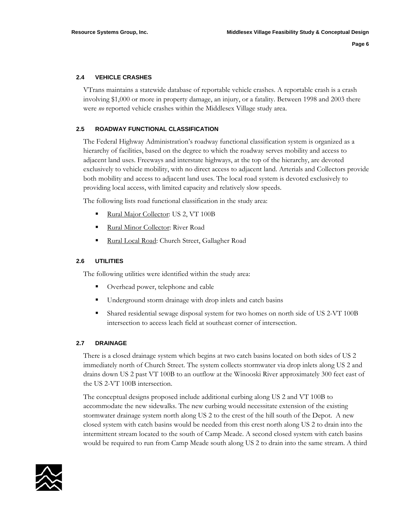#### **2.4 VEHICLE CRASHES**

VTrans maintains a statewide database of reportable vehicle crashes. A reportable crash is a crash involving \$1,000 or more in property damage, an injury, or a fatality. Between 1998 and 2003 there were *no* reported vehicle crashes within the Middlesex Village study area.

#### **2.5 ROADWAY FUNCTIONAL CLASSIFICATION**

The Federal Highway Administration's roadway functional classification system is organized as a hierarchy of facilities, based on the degree to which the roadway serves mobility and access to adjacent land uses. Freeways and interstate highways, at the top of the hierarchy, are devoted exclusively to vehicle mobility, with no direct access to adjacent land. Arterials and Collectors provide both mobility and access to adjacent land uses. The local road system is devoted exclusively to providing local access, with limited capacity and relatively slow speeds.

The following lists road functional classification in the study area:

- Rural Major Collector: US 2, VT 100B
- Rural Minor Collector: River Road
- Rural Local Road: Church Street, Gallagher Road

#### **2.6 UTILITIES**

The following utilities were identified within the study area:

- Overhead power, telephone and cable
- Underground storm drainage with drop inlets and catch basins
- Shared residential sewage disposal system for two homes on north side of US 2-VT 100B intersection to access leach field at southeast corner of intersection.

#### **2.7 DRAINAGE**

There is a closed drainage system which begins at two catch basins located on both sides of US 2 immediately north of Church Street. The system collects stormwater via drop inlets along US 2 and drains down US 2 past VT 100B to an outflow at the Winooski River approximately 300 feet east of the US 2-VT 100B intersection.

The conceptual designs proposed include additional curbing along US 2 and VT 100B to accommodate the new sidewalks. The new curbing would necessitate extension of the existing stormwater drainage system north along US 2 to the crest of the hill south of the Depot. A new closed system with catch basins would be needed from this crest north along US 2 to drain into the intermittent stream located to the south of Camp Meade. A second closed system with catch basins would be required to run from Camp Meade south along US 2 to drain into the same stream. A third

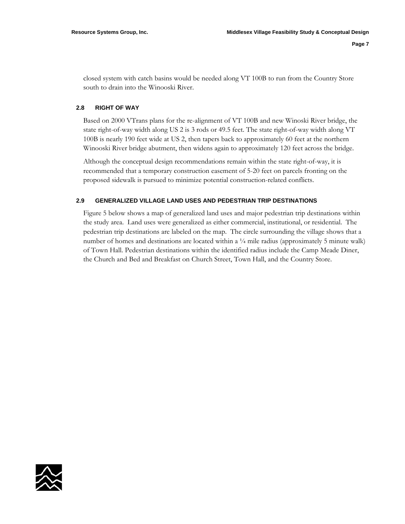closed system with catch basins would be needed along VT 100B to run from the Country Store south to drain into the Winooski River.

#### **2.8 RIGHT OF WAY**

Based on 2000 VTrans plans for the re-alignment of VT 100B and new Winoski River bridge, the state right-of-way width along US 2 is 3 rods or 49.5 feet. The state right-of-way width along VT 100B is nearly 190 feet wide at US 2, then tapers back to approximately 60 feet at the northern Winooski River bridge abutment, then widens again to approximately 120 feet across the bridge.

Although the conceptual design recommendations remain within the state right-of-way, it is recommended that a temporary construction easement of 5-20 feet on parcels fronting on the proposed sidewalk is pursued to minimize potential construction-related conflicts.

#### **2.9 GENERALIZED VILLAGE LAND USES AND PEDESTRIAN TRIP DESTINATIONS**

Figure 5 below shows a map of generalized land uses and major pedestrian trip destinations within the study area. Land uses were generalized as either commercial, institutional, or residential. The pedestrian trip destinations are labeled on the map. The circle surrounding the village shows that a number of homes and destinations are located within a  $\frac{1}{4}$  mile radius (approximately 5 minute walk) of Town Hall. Pedestrian destinations within the identified radius include the Camp Meade Diner, the Church and Bed and Breakfast on Church Street, Town Hall, and the Country Store.

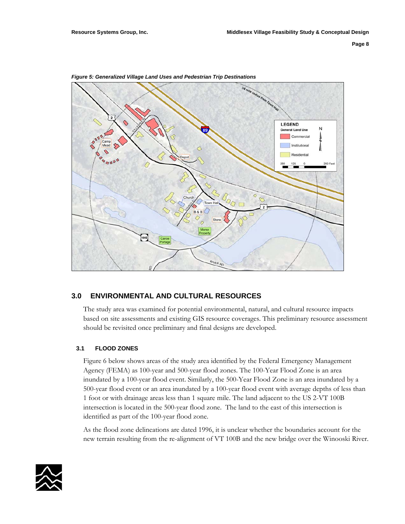

*Figure 5: Generalized Village Land Uses and Pedestrian Trip Destinations* 

#### **3.0 ENVIRONMENTAL AND CULTURAL RESOURCES**

The study area was examined for potential environmental, natural, and cultural resource impacts based on site assessments and existing GIS resource coverages. This preliminary resource assessment should be revisited once preliminary and final designs are developed.

#### **3.1 FLOOD ZONES**

Figure 6 below shows areas of the study area identified by the Federal Emergency Management Agency (FEMA) as 100-year and 500-year flood zones. The 100-Year Flood Zone is an area inundated by a 100-year flood event. Similarly, the 500-Year Flood Zone is an area inundated by a 500-year flood event or an area inundated by a 100-year flood event with average depths of less than 1 foot or with drainage areas less than 1 square mile. The land adjacent to the US 2-VT 100B intersection is located in the 500-year flood zone. The land to the east of this intersection is identified as part of the 100-year flood zone.

As the flood zone delineations are dated 1996, it is unclear whether the boundaries account for the new terrain resulting from the re-alignment of VT 100B and the new bridge over the Winooski River.

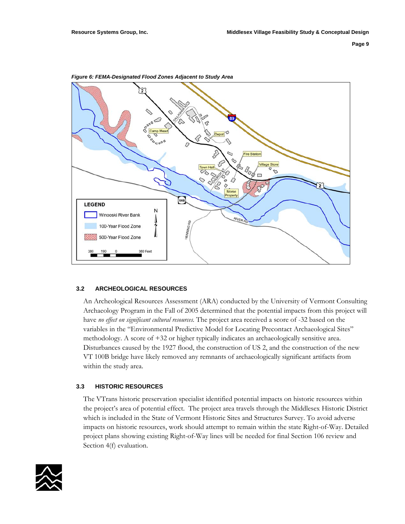

*Figure 6: FEMA-Designated Flood Zones Adjacent to Study Area* 

#### **3.2 ARCHEOLOGICAL RESOURCES**

An Archeological Resources Assessment (ARA) conducted by the University of Vermont Consulting Archaeology Program in the Fall of 2005 determined that the potential impacts from this project will have *no effect on significant cultural resources*. The project area received a score of -32 based on the variables in the "Environmental Predictive Model for Locating Precontact Archaeological Sites" methodology. A score of +32 or higher typically indicates an archaeologically sensitive area. Disturbances caused by the 1927 flood, the construction of US 2, and the construction of the new VT 100B bridge have likely removed any remnants of archaeologically significant artifacts from within the study area.

#### **3.3 HISTORIC RESOURCES**

The VTrans historic preservation specialist identified potential impacts on historic resources within the project's area of potential effect. The project area travels through the Middlesex Historic District which is included in the State of Vermont Historic Sites and Structures Survey. To avoid adverse impacts on historic resources, work should attempt to remain within the state Right-of-Way. Detailed project plans showing existing Right-of-Way lines will be needed for final Section 106 review and Section 4(f) evaluation.

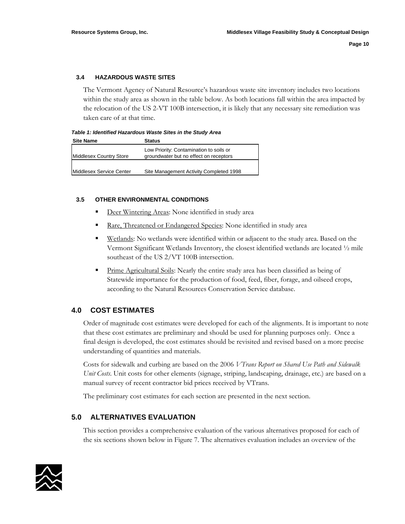#### **3.4 HAZARDOUS WASTE SITES**

The Vermont Agency of Natural Resource's hazardous waste site inventory includes two locations within the study area as shown in the table below. As both locations fall within the area impacted by the relocation of the US 2-VT 100B intersection, it is likely that any necessary site remediation was taken care of at that time.

*Table 1: Identified Hazardous Waste Sites in the Study Area* 

| <b>Site Name</b>         | Status                                                                            |
|--------------------------|-----------------------------------------------------------------------------------|
| Middlesex Country Store  | Low Priority: Contamination to soils or<br>groundwater but no effect on receptors |
| Middlesex Service Center | Site Management Activity Completed 1998                                           |
|                          |                                                                                   |

#### **3.5 OTHER ENVIRONMENTAL CONDITIONS**

- Deer Wintering Areas: None identified in study area
- Rare, Threatened or Endangered Species: None identified in study area
- **Wetlands:** No wetlands were identified within or adjacent to the study area. Based on the Vermont Significant Wetlands Inventory, the closest identified wetlands are located ½ mile southeast of the US 2/VT 100B intersection.
- **Prime Agricultural Soils:** Nearly the entire study area has been classified as being of Statewide importance for the production of food, feed, fiber, forage, and oilseed crops, according to the Natural Resources Conservation Service database.

#### **4.0 COST ESTIMATES**

Order of magnitude cost estimates were developed for each of the alignments. It is important to note that these cost estimates are preliminary and should be used for planning purposes only. Once a final design is developed, the cost estimates should be revisited and revised based on a more precise understanding of quantities and materials.

Costs for sidewalk and curbing are based on the 2006 *VTrans Report on Shared Use Path and Sidewalk Unit Costs*. Unit costs for other elements (signage, striping, landscaping, drainage, etc.) are based on a manual survey of recent contractor bid prices received by VTrans.

The preliminary cost estimates for each section are presented in the next section.

#### **5.0 ALTERNATIVES EVALUATION**

This section provides a comprehensive evaluation of the various alternatives proposed for each of the six sections shown below in Figure 7. The alternatives evaluation includes an overview of the

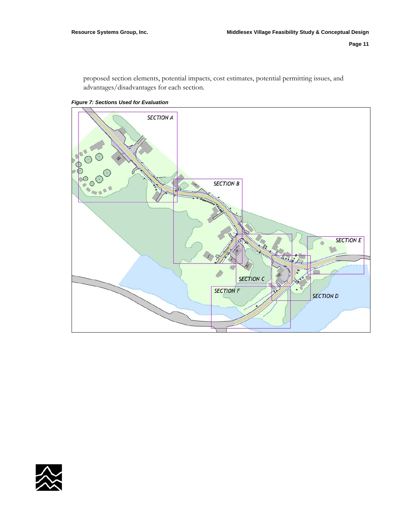proposed section elements, potential impacts, cost estimates, potential permitting issues, and advantages/disadvantages for each section.

*Figure 7: Sections Used for Evaluation* 



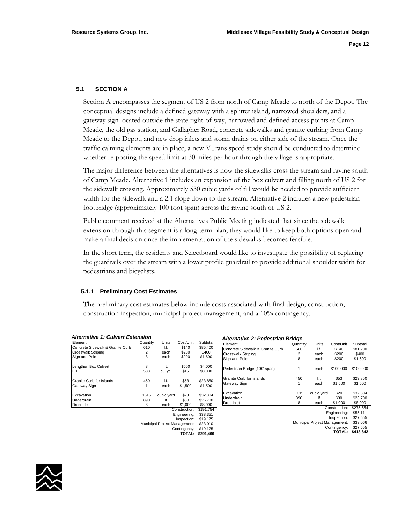#### **5.1 SECTION A**

Section A encompasses the segment of US 2 from north of Camp Meade to north of the Depot. The conceptual designs include a defined gateway with a splitter island, narrowed shoulders, and a gateway sign located outside the state right-of-way, narrowed and defined access points at Camp Meade, the old gas station, and Gallagher Road, concrete sidewalks and granite curbing from Camp Meade to the Depot, and new drop inlets and storm drains on either side of the stream. Once the traffic calming elements are in place, a new VTrans speed study should be conducted to determine whether re-posting the speed limit at 30 miles per hour through the village is appropriate.

The major difference between the alternatives is how the sidewalks cross the stream and ravine south of Camp Meade. Alternative 1 includes an expansion of the box culvert and filling north of US 2 for the sidewalk crossing. Approximately 530 cubic yards of fill would be needed to provide sufficient width for the sidewalk and a 2:1 slope down to the stream. Alternative 2 includes a new pedestrian footbridge (approximately 100 foot span) across the ravine south of US 2.

Public comment received at the Alternatives Public Meeting indicated that since the sidewalk extension through this segment is a long-term plan, they would like to keep both options open and make a final decision once the implementation of the sidewalks becomes feasible.

In the short term, the residents and Selectboard would like to investigate the possibility of replacing the guardrails over the stream with a lower profile guardrail to provide additional shoulder width for pedestrians and bicyclists.

#### **5.1.1 Preliminary Cost Estimates**

The preliminary cost estimates below include costs associated with final design, construction, construction inspection, municipal project management, and a 10% contingency.

| <b>Alternative 1: Culvert Extension</b> |          |                               |               | Alternative 2: Pedestrian Bridge |                                  |          |                               |               |           |
|-----------------------------------------|----------|-------------------------------|---------------|----------------------------------|----------------------------------|----------|-------------------------------|---------------|-----------|
| Element                                 | Quantity | Units                         | Cost/Unit     | Subtotal                         | Element                          | Quantity | Units                         | Cost/Unit     | Subtotal  |
| Concrete Sidewalk & Granite Curb        | 610      | I.f.                          | \$140         | \$85,400                         | Concrete Sidewalk & Granite Curb | 580      | 1.f.                          | \$140         | \$81,200  |
| <b>Crosswalk Striping</b>               | 2        | each                          | \$200         | \$400                            | <b>Crosswalk Striping</b>        | 2        | each                          | \$200         | \$400     |
| Sign and Pole                           | 8        | each                          | \$200         | \$1,600                          | Sign and Pole                    | 8        | each                          | \$200         | \$1,600   |
| Lengthen Box Culvert                    | 8        | ft.                           | \$500         | \$4,000                          | Pedestrian Bridge (100' span)    |          | each                          | \$100,000     | \$100,000 |
| Fill                                    | 533      | cu. yd.                       | \$15          | \$8,000                          |                                  |          |                               |               |           |
| <b>Granite Curb for Islands</b>         | 450      | I.f.                          | \$53          | \$23,850                         | Granite Curb for Islands         | 450      | 1.f.                          | \$53          | \$23,850  |
| Gateway Sign                            |          | each                          | \$1,500       | \$1,500                          | Gateway Sign                     |          | each                          | \$1,500       | \$1,500   |
| Excavation                              | 1615     | cubic yard                    | \$20          | \$32,304                         | Excavation                       | 1615     | cubic yard                    | \$20          | \$32,304  |
| Underdrain                              | 890      | lf                            | \$30          | \$26,700                         | Underdrain                       | 890      |                               | \$30          | \$26,700  |
| Drop inlet                              | 8        | each                          | \$1,000       | \$8,000                          | Drop inlet                       | 8        | each                          | \$1,000       | \$8,000   |
|                                         |          |                               | Construction: | \$191.754                        |                                  |          |                               | Construction: | \$275,554 |
|                                         |          |                               | Engineering:  | \$38,351                         |                                  |          |                               | Engineering:  | \$55,111  |
|                                         |          |                               | Inspection:   | \$19,175                         |                                  |          |                               | Inspection:   | \$27,555  |
|                                         |          | Municipal Project Management: |               | \$23,010                         |                                  |          | Municipal Project Management: |               | \$33,066  |
|                                         |          |                               | Contingency:  | \$19,175                         |                                  |          | Contingency: \$27,555         |               |           |
|                                         |          |                               |               | TOTAL: \$291,466                 |                                  |          | TOTAL: \$418,842              |               |           |
|                                         |          |                               |               |                                  |                                  |          |                               |               |           |

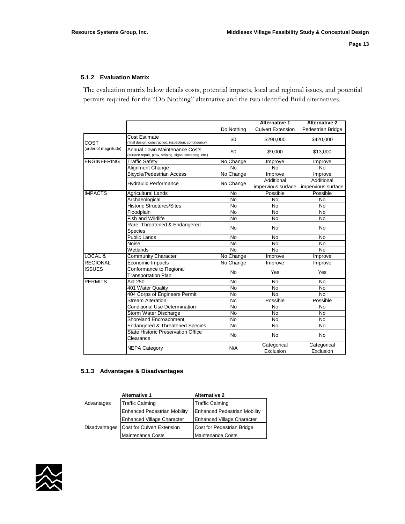#### **5.1.2 Evaluation Matrix**

The evaluation matrix below details costs, potential impacts, local and regional issues, and potential permits required for the "Do Nothing" alternative and the two identified Build alternatives.

|                      |                                                                                                 | Do Nothing | <b>Alternative 1</b><br><b>Culvert Extension</b> | <b>Alternative 2</b><br>Pedestrian Bridge |
|----------------------|-------------------------------------------------------------------------------------------------|------------|--------------------------------------------------|-------------------------------------------|
| COST                 | <b>Cost Estimate</b><br>(final design, construction, inspection, contingency)                   | \$0        | \$290,000                                        | \$420,000                                 |
| (order of magnitude) | <b>Annual Town Maintenance Costs</b><br>(surface repair, plow, striping, signs, sweeping, etc.) | \$0        | \$9,000                                          | \$13,000                                  |
| <b>ENGINEERING</b>   | <b>Traffic Safety</b>                                                                           | No Change  | Improve                                          | Improve                                   |
|                      | Alignment Change                                                                                | No         | <b>No</b>                                        | <b>No</b>                                 |
|                      | <b>Bicycle/Pedestrian Access</b>                                                                | No Change  | Improve                                          | Improve                                   |
|                      | <b>Hydraulic Performance</b>                                                                    | No Change  | Additional<br>impervious surface                 | Additional<br>impervious surface          |
| <b>IMPACTS</b>       | <b>Agricultural Lands</b>                                                                       | No         | Possible                                         | Possible                                  |
|                      | Archaeological                                                                                  | <b>No</b>  | No                                               | No                                        |
|                      | <b>Historic Structures/Sites</b>                                                                | No         | No                                               | No                                        |
|                      | Floodplain                                                                                      | <b>No</b>  | <b>No</b>                                        | No                                        |
|                      | <b>Fish and Wildlife</b>                                                                        | No         | No                                               | No                                        |
|                      | Rare, Threatened & Endangered<br>Species                                                        | No         | <b>No</b>                                        | No                                        |
|                      | Public Lands                                                                                    | <b>No</b>  | <b>No</b>                                        | <b>No</b>                                 |
|                      | Noise                                                                                           | No         | No                                               | <b>No</b>                                 |
|                      | Wetlands                                                                                        | No         | <b>No</b>                                        | No                                        |
| LOCAL &              | <b>Community Character</b>                                                                      | No Change  | Improve                                          | <b>Improve</b>                            |
| <b>REGIONAL</b>      | Economic Impacts                                                                                | No Change  | Improve                                          | Improve                                   |
| <b>ISSUES</b>        | Conformance to Regional<br><b>Transportation Plan</b>                                           | No         | Yes                                              | Yes                                       |
| <b>PERMITS</b>       | Act 250                                                                                         | <b>No</b>  | <b>No</b>                                        | <b>No</b>                                 |
|                      | 401 Water Quality                                                                               | No         | <b>No</b>                                        | <b>No</b>                                 |
|                      | 404 Corps of Engineers Permit                                                                   | No         | <b>No</b>                                        | <b>No</b>                                 |
|                      | <b>Stream Alteration</b>                                                                        | <b>No</b>  | Possible                                         | Possible                                  |
|                      | <b>Conditional Use Determination</b>                                                            | No         | No                                               | No                                        |
|                      | Storm Water Discharge                                                                           | <b>No</b>  | <b>No</b>                                        | N <sub>o</sub>                            |
|                      | <b>Shoreland Encroachment</b>                                                                   | No         | <b>No</b>                                        | <b>No</b>                                 |
|                      | <b>Endangered &amp; Threatened Species</b>                                                      | <b>No</b>  | <b>No</b>                                        | No                                        |
|                      | State Historic Preservation Office<br>Clearance                                                 | No.        | No                                               | No                                        |
|                      | <b>NEPA Category</b>                                                                            | N/A        | Categorical<br>Exclusion                         | Categorical<br>Exclusion                  |

#### **5.1.3 Advantages & Disadvantages**

|                      | <b>Alternative 1</b>                | <b>Alternative 2</b>                |  |  |
|----------------------|-------------------------------------|-------------------------------------|--|--|
| Advantages           | <b>Traffic Calming</b>              | <b>Traffic Calming</b>              |  |  |
|                      | <b>Enhanced Pedestrian Mobility</b> | <b>Enhanced Pedestrian Mobility</b> |  |  |
|                      | <b>Enhanced Village Character</b>   | <b>Enhanced Village Character</b>   |  |  |
| <b>Disadvantages</b> | Cost for Culvert Extension          | Cost for Pedestrian Bridge          |  |  |
|                      | <b>Maintenance Costs</b>            | <b>Maintenance Costs</b>            |  |  |

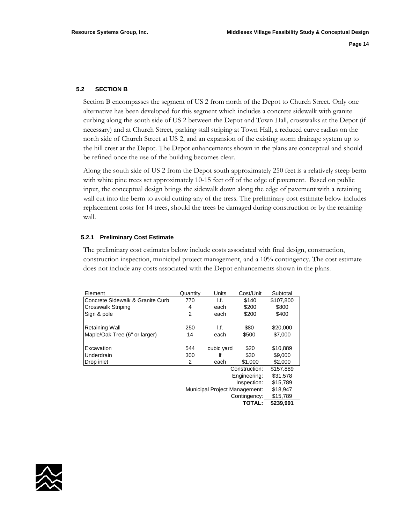#### **5.2 SECTION B**

Section B encompasses the segment of US 2 from north of the Depot to Church Street. Only one alternative has been developed for this segment which includes a concrete sidewalk with granite curbing along the south side of US 2 between the Depot and Town Hall, crosswalks at the Depot (if necessary) and at Church Street, parking stall striping at Town Hall, a reduced curve radius on the north side of Church Street at US 2, and an expansion of the existing storm drainage system up to the hill crest at the Depot. The Depot enhancements shown in the plans are conceptual and should be refined once the use of the building becomes clear.

Along the south side of US 2 from the Depot south approximately 250 feet is a relatively steep berm with white pine trees set approximately 10-15 feet off of the edge of pavement. Based on public input, the conceptual design brings the sidewalk down along the edge of pavement with a retaining wall cut into the berm to avoid cutting any of the tress. The preliminary cost estimate below includes replacement costs for 14 trees, should the trees be damaged during construction or by the retaining wall.

#### **5.2.1 Preliminary Cost Estimate**

The preliminary cost estimates below include costs associated with final design, construction, construction inspection, municipal project management, and a 10% contingency. The cost estimate does not include any costs associated with the Depot enhancements shown in the plans.

| Element                          | Quantity       | Units                         | Cost/Unit     | Subtotal  |
|----------------------------------|----------------|-------------------------------|---------------|-----------|
| Concrete Sidewalk & Granite Curb | 770            | I.f.                          | \$140         | \$107,800 |
| <b>Crosswalk Striping</b>        | 4              | each                          | \$200         | \$800     |
| Sign & pole                      | $\overline{2}$ | each                          | \$200         | \$400     |
| <b>Retaining Wall</b>            | 250            | l.f.                          | \$80          | \$20,000  |
| Maple/Oak Tree (6" or larger)    | 14             | each                          | \$500         | \$7,000   |
| Excavation                       | 544            | cubic yard                    | \$20          | \$10,889  |
| Underdrain                       | 300            | lf                            | \$30          | \$9,000   |
| Drop inlet                       | 2              | each                          | \$1,000       | \$2,000   |
|                                  |                |                               | Construction: | \$157,889 |
|                                  |                |                               | Engineering:  | \$31,578  |
|                                  |                |                               | Inspection:   | \$15,789  |
|                                  |                | Municipal Project Management: |               | \$18,947  |
|                                  |                |                               | Contingency:  | \$15,789  |
|                                  |                |                               | <b>TOTAL:</b> | \$239,991 |

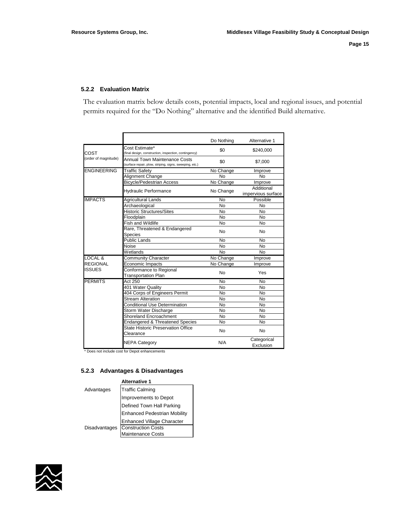#### **5.2.2 Evaluation Matrix**

The evaluation matrix below details costs, potential impacts, local and regional issues, and potential permits required for the "Do Nothing" alternative and the identified Build alternative.

|                      |                                                                                          | Do Nothing | Alternative 1                    |
|----------------------|------------------------------------------------------------------------------------------|------------|----------------------------------|
| COST                 | Cost Estimate*<br>(final design, construction, inspection, contingency)                  | \$0        | \$240,000                        |
| (order of magnitude) | Annual Town Maintenance Costs<br>(surface repair, plow, striping, signs, sweeping, etc.) | \$0        | \$7,000                          |
| <b>ENGINEERING</b>   | <b>Traffic Safety</b>                                                                    | No Change  | Improve                          |
|                      | Alignment Change                                                                         | <b>No</b>  | No                               |
|                      | <b>Bicycle/Pedestrian Access</b>                                                         | No Change  | Improve                          |
|                      | <b>Hydraulic Performance</b>                                                             | No Change  | Additional<br>impervious surface |
| <b>IMPACTS</b>       | <b>Agricultural Lands</b>                                                                | <b>No</b>  | Possible                         |
|                      | Archaeological                                                                           | <b>No</b>  | <b>No</b>                        |
|                      | <b>Historic Structures/Sites</b>                                                         | <b>No</b>  | <b>No</b>                        |
|                      | Floodplain                                                                               | <b>No</b>  | <b>No</b>                        |
|                      | Fish and Wildlife                                                                        | <b>No</b>  | <b>No</b>                        |
|                      | Rare, Threatened & Endangered<br><b>Species</b>                                          | <b>No</b>  | <b>No</b>                        |
|                      | <b>Public Lands</b>                                                                      | <b>No</b>  | <b>No</b>                        |
|                      | Noise                                                                                    | <b>No</b>  | N <sub>o</sub>                   |
|                      | Wetlands                                                                                 | <b>No</b>  | <b>No</b>                        |
| LOCAL &              | Community Character                                                                      | No Change  | Improve                          |
| <b>REGIONAL</b>      | Economic Impacts                                                                         | No Change  | Improve                          |
| <b>ISSUES</b>        | Conformance to Regional<br><b>Transportation Plan</b>                                    | <b>No</b>  | Yes                              |
| <b>PERMITS</b>       | Act 250                                                                                  | <b>No</b>  | No                               |
|                      | 401 Water Quality                                                                        | <b>No</b>  | <b>No</b>                        |
|                      | 404 Corps of Engineers Permit                                                            | <b>No</b>  | <b>No</b>                        |
|                      | <b>Stream Alteration</b>                                                                 | <b>No</b>  | No                               |
|                      | <b>Conditional Use Determination</b>                                                     | <b>No</b>  | No                               |
|                      | Storm Water Discharge                                                                    | <b>No</b>  | <b>No</b>                        |
|                      | Shoreland Encroachment                                                                   | No         | No                               |
|                      | Endangered & Threatened Species                                                          | <b>No</b>  | No                               |
|                      | State Historic Preservation Office<br>Clearance                                          | No         | No                               |
|                      | <b>NEPA Category</b>                                                                     | N/A        | Categorical<br>Exclusion         |

\* Does not include cost for Depot enhancements

#### **5.2.3 Advantages & Disadvantages**

| Advantages    | <b>Traffic Calming</b>                         |
|---------------|------------------------------------------------|
|               | Improvements to Depot                          |
|               | Defined Town Hall Parking                      |
|               | Enhanced Pedestrian Mobility                   |
|               | <b>Enhanced Village Character</b>              |
| Disadvantages |                                                |
|               | <b>Construction Costs</b><br>Maintenance Costs |

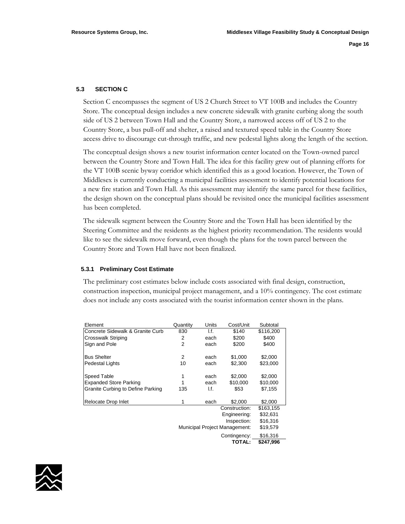#### **5.3 SECTION C**

Section C encompasses the segment of US 2 Church Street to VT 100B and includes the Country Store. The conceptual design includes a new concrete sidewalk with granite curbing along the south side of US 2 between Town Hall and the Country Store, a narrowed access off of US 2 to the Country Store, a bus pull-off and shelter, a raised and textured speed table in the Country Store access drive to discourage cut-through traffic, and new pedestal lights along the length of the section.

The conceptual design shows a new tourist information center located on the Town-owned parcel between the Country Store and Town Hall. The idea for this facility grew out of planning efforts for the VT 100B scenic byway corridor which identified this as a good location. However, the Town of Middlesex is currently conducting a municipal facilities assessment to identify potential locations for a new fire station and Town Hall. As this assessment may identify the same parcel for these facilities, the design shown on the conceptual plans should be revisited once the municipal facilities assessment has been completed.

The sidewalk segment between the Country Store and the Town Hall has been identified by the Steering Committee and the residents as the highest priority recommendation. The residents would like to see the sidewalk move forward, even though the plans for the town parcel between the Country Store and Town Hall have not been finalized.

#### **5.3.1 Preliminary Cost Estimate**

The preliminary cost estimates below include costs associated with final design, construction, construction inspection, municipal project management, and a 10% contingency. The cost estimate does not include any costs associated with the tourist information center shown in the plans.

| Element                           | Quantity       | Units | Cost/Unit                     | Subtotal  |
|-----------------------------------|----------------|-------|-------------------------------|-----------|
| Concrete Sidewalk & Granite Curb  | 830            | I.f.  | \$140                         | \$116,200 |
| <b>Crosswalk Striping</b>         | 2              | each  | \$200                         | \$400     |
| Sign and Pole                     | $\overline{2}$ | each  | \$200                         | \$400     |
| <b>Bus Shelter</b>                | 2              | each  | \$1,000                       | \$2,000   |
| Pedestal Lights                   | 10             | each  | \$2,300                       | \$23,000  |
| Speed Table                       | 1              | each  | \$2,000                       | \$2,000   |
| <b>Expanded Store Parking</b>     |                | each  | \$10,000                      | \$10,000  |
| Granite Curbing to Define Parking | 135            | I.f.  | \$53                          | \$7,155   |
| Relocate Drop Inlet               | 1              | each  | \$2,000                       | \$2,000   |
|                                   |                |       | Construction:                 | \$163,155 |
|                                   |                |       | Engineering:                  | \$32,631  |
|                                   |                |       | Inspection:                   | \$16,316  |
|                                   |                |       | Municipal Project Management: | \$19,579  |
|                                   |                |       | Contingency:                  | \$16,316  |
|                                   |                |       | <b>TOTAL:</b>                 | \$247,996 |

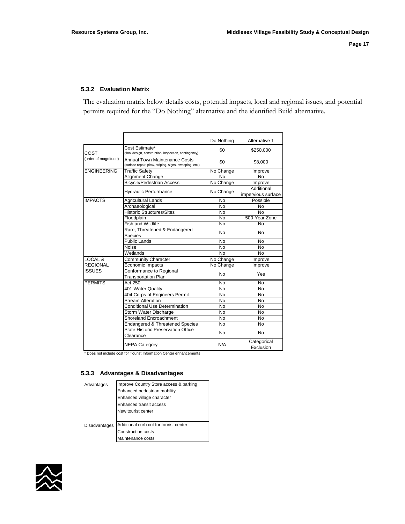#### **5.3.2 Evaluation Matrix**

The evaluation matrix below details costs, potential impacts, local and regional issues, and potential permits required for the "Do Nothing" alternative and the identified Build alternative.

|                      |                                                                                          | Do Nothing     | Alternative 1                    |
|----------------------|------------------------------------------------------------------------------------------|----------------|----------------------------------|
| COST                 | Cost Estimate*<br>(final design, construction, inspection, contingency)                  | \$0            | \$250,000                        |
| (order of magnitude) | Annual Town Maintenance Costs<br>(surface repair, plow, striping, signs, sweeping, etc.) | \$0            | \$8,000                          |
| <b>ENGINEERING</b>   | Traffic Safety                                                                           | No Change      | Improve                          |
|                      | Alignment Change                                                                         | No             | No                               |
|                      | <b>Bicycle/Pedestrian Access</b>                                                         | No Change      | Improve                          |
|                      | <b>Hydraulic Performance</b>                                                             | No Change      | Additional<br>impervious surface |
| <b>IMPACTS</b>       | <b>Agricultural Lands</b>                                                                | No             | Possible                         |
|                      | Archaeological                                                                           | N <sub>0</sub> | <b>No</b>                        |
|                      | <b>Historic Structures/Sites</b>                                                         | <b>No</b>      | <b>No</b>                        |
|                      | Floodplain                                                                               | N <sub>o</sub> | 500-Year Zone                    |
|                      | Fish and Wildlife                                                                        | <b>No</b>      | No                               |
|                      | Rare, Threatened & Endangered<br><b>Species</b>                                          | No             | <b>No</b>                        |
|                      | <b>Public Lands</b>                                                                      | <b>No</b>      | <b>No</b>                        |
|                      | Noise                                                                                    | N <sub>0</sub> | N <sub>o</sub>                   |
|                      | Wetlands                                                                                 | No             | <b>No</b>                        |
| LOCAL &              | <b>Community Character</b>                                                               | No Change      | Improve                          |
| <b>REGIONAL</b>      | Economic Impacts                                                                         | No Change      | Improve                          |
| <b>ISSUES</b>        | Conformance to Regional<br><b>Transportation Plan</b>                                    | <b>No</b>      | Yes                              |
| <b>PERMITS</b>       | <b>Act 250</b>                                                                           | No             | No                               |
|                      | 401 Water Quality                                                                        | No             | No                               |
|                      | 404 Corps of Engineers Permit                                                            | No             | No                               |
|                      | <b>Stream Alteration</b>                                                                 | No             | No                               |
|                      | <b>Conditional Use Determination</b>                                                     | No             | No                               |
|                      | Storm Water Discharge                                                                    | No             | <b>No</b>                        |
|                      | <b>Shoreland Encroachment</b>                                                            | No             | No                               |
|                      | <b>Endangered &amp; Threatened Species</b>                                               | No             | <b>No</b>                        |
|                      | State Historic Preservation Office<br>Clearance                                          | No             | No                               |
|                      | <b>NEPA Category</b>                                                                     | N/A            | Categorical<br>Exclusion         |

\* Does not include cost for Tourist Information Center enhancements

#### **5.3.3 Advantages & Disadvantages**

| Advantages    | Improve Country Store access & parking |
|---------------|----------------------------------------|
|               | Enhanced pedestrian mobility           |
|               | Enhanced village character             |
|               | Enhanced transit access                |
|               | New tourist center                     |
|               |                                        |
| Disadvantages | Additional curb cut for tourist center |
|               | Construction costs                     |
|               | Maintenance costs                      |

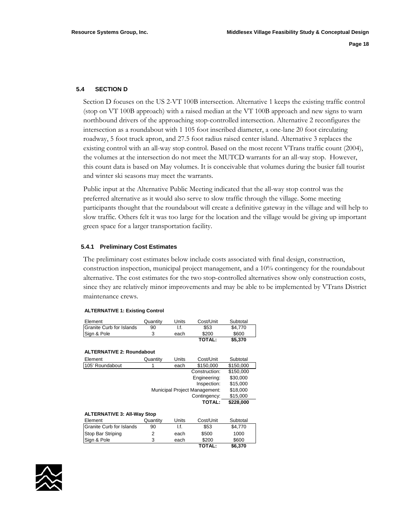#### **5.4 SECTION D**

Section D focuses on the US 2-VT 100B intersection. Alternative 1 keeps the existing traffic control (stop on VT 100B approach) with a raised median at the VT 100B approach and new signs to warn northbound drivers of the approaching stop-controlled intersection. Alternative 2 reconfigures the intersection as a roundabout with 1 105 foot inscribed diameter, a one-lane 20 foot circulating roadway, 5 foot truck apron, and 27.5 foot radius raised center island. Alternative 3 replaces the existing control with an all-way stop control. Based on the most recent VTrans traffic count (2004), the volumes at the intersection do not meet the MUTCD warrants for an all-way stop. However, this count data is based on May volumes. It is conceivable that volumes during the busier fall tourist and winter ski seasons may meet the warrants.

Public input at the Alternative Public Meeting indicated that the all-way stop control was the preferred alternative as it would also serve to slow traffic through the village. Some meeting participants thought that the roundabout will create a definitive gateway in the village and will help to slow traffic. Others felt it was too large for the location and the village would be giving up important green space for a larger transportation facility.

#### **5.4.1 Preliminary Cost Estimates**

The preliminary cost estimates below include costs associated with final design, construction, construction inspection, municipal project management, and a 10% contingency for the roundabout alternative. The cost estimates for the two stop-controlled alternatives show only construction costs, since they are relatively minor improvements and may be able to be implemented by VTrans District maintenance crews.

#### **ALTERNATIVE 1: Existing Control**

| Element                  | Quantitv | Units | Cost/Unit | Subtotal |
|--------------------------|----------|-------|-----------|----------|
| Granite Curb for Islands | 90       |       | \$53      | \$4.770  |
| Sign & Pole              |          | each  | \$200     | \$600    |
|                          |          |       | TOTAL:    | \$5.370  |

#### **ALTERNATIVE 2: Roundabout**

| Element         | Quantity                      | Units    | Cost/Unit     | Subtotal  |
|-----------------|-------------------------------|----------|---------------|-----------|
| 105' Roundabout |                               | each     | \$150,000     | \$150,000 |
|                 |                               |          | Construction: | \$150,000 |
|                 |                               |          | Engineering:  | \$30,000  |
|                 |                               |          | Inspection:   | \$15,000  |
|                 | Municipal Project Management: | \$18,000 |               |           |
|                 |                               |          | Contingency:  | \$15,000  |
|                 |                               |          | <b>TOTAL:</b> | \$228,000 |
|                 |                               |          |               |           |

#### **ALTERNATIVE 3: All-Way Stop**

| Element                  | Quantity | Units | Cost/Unit     | Subtotal |  |
|--------------------------|----------|-------|---------------|----------|--|
| Granite Curb for Islands | 90       | I.f.  | \$53          | \$4.770  |  |
| Stop Bar Striping        |          | each  | \$500         | 1000     |  |
| Sign & Pole              | 3        | each  | \$200         | \$600    |  |
|                          |          |       | <b>TOTAL:</b> | \$6,370  |  |

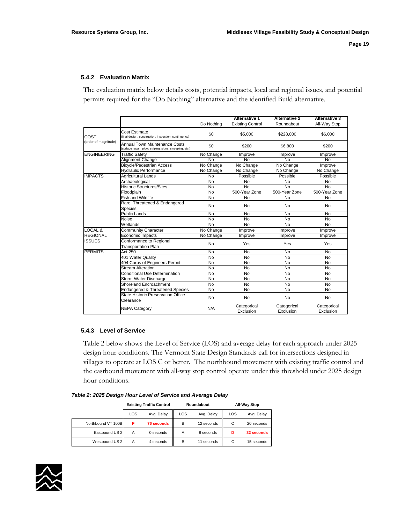#### **5.4.2 Evaluation Matrix**

The evaluation matrix below details costs, potential impacts, local and regional issues, and potential permits required for the "Do Nothing" alternative and the identified Build alternative.

|                      |                                                                                                 |            | <b>Alternative 1</b>     | <b>Alternative 2</b>     | <b>Alternative 3</b>     |
|----------------------|-------------------------------------------------------------------------------------------------|------------|--------------------------|--------------------------|--------------------------|
|                      |                                                                                                 | Do Nothing | <b>Existing Control</b>  | Roundabout               | All-Way Stop             |
| COST                 | Cost Estimate<br>(final design, construction, inspection, contingency)                          | \$0        | \$5,000                  | \$228,000                | \$6,000                  |
| (order of magnitude) | <b>Annual Town Maintenance Costs</b><br>(surface repair, plow, striping, signs, sweeping, etc.) | \$0        | \$200                    | \$6,800                  | \$200                    |
| <b>ENGINEERING</b>   | <b>Traffic Safety</b>                                                                           | No Change  | Improve                  | Improve                  | Improve                  |
|                      | Alignment Change                                                                                | No         | No                       | <b>No</b>                | <b>No</b>                |
|                      | <b>Bicycle/Pedestrian Access</b>                                                                | No Change  | No Change                | No Change                | Improve                  |
|                      | <b>Hydraulic Performance</b>                                                                    | No Change  | No Change                | No Change                | No Change                |
| <b>IMPACTS</b>       | <b>Agricultural Lands</b>                                                                       | No         | Possible                 | Possible                 | Possible                 |
|                      | Archaeological                                                                                  | <b>No</b>  | No                       | No                       | <b>No</b>                |
|                      | <b>Historic Structures/Sites</b>                                                                | <b>No</b>  | No                       | <b>No</b>                | <b>No</b>                |
|                      | Floodplain                                                                                      | <b>No</b>  | 500-Year Zone            | 500-Year Zone            | 500-Year Zone            |
|                      | Fish and Wildlife                                                                               | <b>No</b>  | No                       | No                       | <b>No</b>                |
|                      | Rare, Threatened & Endangered<br>Species                                                        | No         | No                       | <b>No</b>                | <b>No</b>                |
|                      | <b>Public Lands</b>                                                                             | <b>No</b>  | No                       | No                       | <b>No</b>                |
|                      | Noise                                                                                           | <b>No</b>  | <b>No</b>                | <b>No</b>                | <b>No</b>                |
|                      | Wetlands                                                                                        | <b>No</b>  | <b>No</b>                | <b>No</b>                | <b>No</b>                |
| LOCAL &              | <b>Community Character</b>                                                                      | No Change  | Improve                  | Improve                  | Improve                  |
| <b>REGIONAL</b>      | Economic Impacts                                                                                | No Change  | Improve                  | Improve                  | Improve                  |
| <b>ISSUES</b>        | Conformance to Regional<br><b>Transportation Plan</b>                                           | No         | Yes                      | Yes                      | Yes                      |
| <b>PERMITS</b>       | Act 250                                                                                         | <b>No</b>  | <b>No</b>                | No                       | <b>No</b>                |
|                      | 401 Water Quality                                                                               | <b>No</b>  | No                       | No                       | <b>No</b>                |
|                      | 404 Corps of Engineers Permit                                                                   | <b>No</b>  | <b>No</b>                | <b>No</b>                | <b>No</b>                |
|                      | <b>Stream Alteration</b>                                                                        | <b>No</b>  | No                       | <b>No</b>                | <b>No</b>                |
|                      | <b>Conditional Use Determination</b>                                                            | <b>No</b>  | No                       | <b>No</b>                | <b>No</b>                |
|                      | Storm Water Discharge                                                                           | No         | No                       | No                       | <b>No</b>                |
|                      | Shoreland Encroachment                                                                          | No         | No                       | No                       | <b>No</b>                |
|                      | <b>Endangered &amp; Threatened Species</b>                                                      | <b>No</b>  | No                       | <b>No</b>                | <b>No</b>                |
|                      | State Historic Preservation Office<br>Clearance                                                 | No         | No                       | No                       | <b>No</b>                |
|                      | <b>NEPA Category</b>                                                                            | N/A        | Categorical<br>Exclusion | Categorical<br>Exclusion | Categorical<br>Exclusion |

#### **5.4.3 Level of Service**

Table 2 below shows the Level of Service (LOS) and average delay for each approach under 2025 design hour conditions. The Vermont State Design Standards call for intersections designed in villages to operate at LOS C or better. The northbound movement with existing traffic control and the eastbound movement with all-way stop control operate under this threshold under 2025 design hour conditions.

#### *Table 2: 2025 Design Hour Level of Service and Average Delay*

|                    | <b>Existing Traffic Control</b><br>LOS<br>Avg. Delay |                   |     | Roundabout |     | All-Way Stop |
|--------------------|------------------------------------------------------|-------------------|-----|------------|-----|--------------|
|                    |                                                      |                   | LOS | Avg. Delay | LOS | Avg. Delay   |
| Northbound VT 100B | F                                                    | <b>76 seconds</b> | B   | 12 seconds | C   | 20 seconds   |
| Eastbound US 2     | A                                                    | 0 seconds         | А   | 8 seconds  | D   | 32 seconds   |
| Westbound US 2     | А                                                    | 4 seconds         | в   | 11 seconds | C   | 15 seconds   |

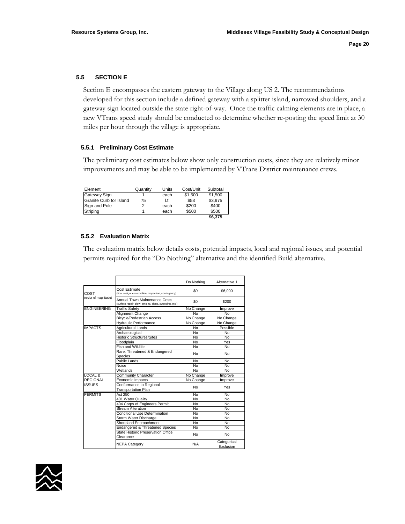#### **5.5 SECTION E**

Section E encompasses the eastern gateway to the Village along US 2. The recommendations developed for this section include a defined gateway with a splitter island, narrowed shoulders, and a gateway sign located outside the state right-of-way. Once the traffic calming elements are in place, a new VTrans speed study should be conducted to determine whether re-posting the speed limit at 30 miles per hour through the village is appropriate.

#### **5.5.1 Preliminary Cost Estimate**

The preliminary cost estimates below show only construction costs, since they are relatively minor improvements and may be able to be implemented by VTrans District maintenance crews.

| Element                 | Quantity | Units | Cost/Unit | Subtotal |
|-------------------------|----------|-------|-----------|----------|
| Gateway Sign            |          | each  | \$1.500   | \$1.500  |
| Granite Curb for Island | 75       | l.f.  | \$53      | \$3,975  |
| Sign and Pole           |          | each  | \$200     | \$400    |
| Striping                |          | each  | \$500     | \$500    |
|                         |          |       |           | \$6.375  |

#### **5.5.2 Evaluation Matrix**

The evaluation matrix below details costs, potential impacts, local and regional issues, and potential permits required for the "Do Nothing" alternative and the identified Build alternative.

|                      |                                                                                          | Do Nothing | Alternative 1            |
|----------------------|------------------------------------------------------------------------------------------|------------|--------------------------|
| COST                 | Cost Estimate<br>(final design, construction, inspection, contingency)                   | \$0        | \$6,000                  |
| (order of magnitude) | Annual Town Maintenance Costs<br>(surface repair, plow, striping, signs, sweeping, etc.) | \$0        | \$200                    |
| <b>ENGINEERING</b>   | <b>Traffic Safety</b>                                                                    | No Change  | Improve                  |
|                      | Alignment Change                                                                         | No         | No                       |
|                      | <b>Bicycle/Pedestrian Access</b>                                                         | No Change  | No Change                |
|                      | <b>Hydraulic Performance</b>                                                             | No Change  | No Change                |
| <b>IMPACTS</b>       | Agricultural Lands                                                                       | No         | Possible                 |
|                      | Archaeological                                                                           | No         | No                       |
|                      | <b>Historic Structures/Sites</b>                                                         | No         | <b>No</b>                |
|                      | Floodplain                                                                               | No         | <b>Yes</b>               |
|                      | Fish and Wildlife                                                                        | No         | No                       |
|                      | Rare, Threatened & Endangered<br>Species                                                 | No         | No                       |
|                      | Public Lands                                                                             | No         | <b>No</b>                |
|                      | Noise                                                                                    | No         | <b>No</b>                |
|                      | Wetlands                                                                                 | No         | No                       |
| LOCAL &              | <b>Community Character</b>                                                               | No Change  | Improve                  |
| REGIONAL             | Economic Impacts                                                                         | No Change  | Improve                  |
| ISSUES               | Conformance to Regional<br><b>Transportation Plan</b>                                    | No         | Yes                      |
| <b>PERMITS</b>       | <b>Act 250</b>                                                                           | No         | No                       |
|                      | 401 Water Quality                                                                        | No         | No                       |
|                      | 404 Corps of Engineers Permit                                                            | No         | No                       |
|                      | Stream Alteration                                                                        | No         | No                       |
|                      | Conditional Use Determination                                                            | No         | No                       |
|                      | Storm Water Discharge                                                                    | No         | No                       |
|                      | Shoreland Encroachment                                                                   | No         | No                       |
|                      | <b>Endangered &amp; Threatened Species</b>                                               | No         | No                       |
|                      | State Historic Preservation Office<br>Clearance                                          | No         | No                       |
|                      | <b>NEPA Category</b>                                                                     | N/A        | Categorical<br>Exclusion |

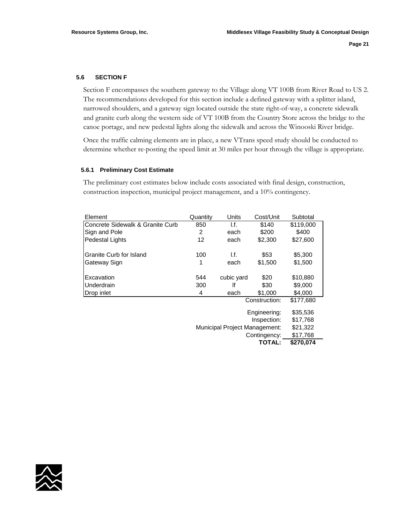#### **5.6 SECTION F**

Section F encompasses the southern gateway to the Village along VT 100B from River Road to US 2. The recommendations developed for this section include a defined gateway with a splitter island, narrowed shoulders, and a gateway sign located outside the state right-of-way, a concrete sidewalk and granite curb along the western side of VT 100B from the Country Store across the bridge to the canoe portage, and new pedestal lights along the sidewalk and across the Winooski River bridge.

Once the traffic calming elements are in place, a new VTrans speed study should be conducted to determine whether re-posting the speed limit at 30 miles per hour through the village is appropriate.

#### **5.6.1 Preliminary Cost Estimate**

The preliminary cost estimates below include costs associated with final design, construction, construction inspection, municipal project management, and a 10% contingency.

| Element                          | Quantity                             | Units      | Cost/Unit     | Subtotal  |
|----------------------------------|--------------------------------------|------------|---------------|-----------|
| Concrete Sidewalk & Granite Curb | 850                                  | l.f.       | \$140         | \$119,000 |
| Sign and Pole                    | 2                                    | each       | \$200         | \$400     |
| <b>Pedestal Lights</b>           | 12                                   | each       | \$2,300       | \$27,600  |
| Granite Curb for Island          | 100                                  | l.f.       | \$53          | \$5,300   |
| Gateway Sign                     | 1                                    | each       | \$1,500       | \$1,500   |
| Excavation                       | 544                                  | cubic yard | \$20          | \$10,880  |
| Underdrain                       | 300                                  | lf         | \$30          | \$9,000   |
| Drop inlet                       | 4                                    | each       | \$1,000       | \$4,000   |
|                                  |                                      |            | Construction: | \$177,680 |
|                                  | Engineering:                         |            |               | \$35,536  |
|                                  |                                      | \$17,768   |               |           |
|                                  | <b>Municipal Project Management:</b> |            |               | \$21,322  |
|                                  |                                      |            | Contingency:  | \$17,768  |
|                                  |                                      |            | <b>TOTAL:</b> | \$270,074 |

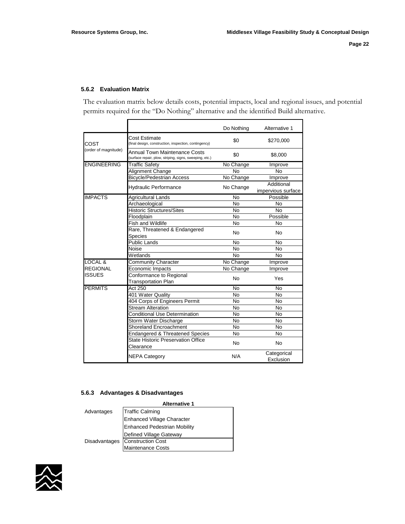#### **5.6.2 Evaluation Matrix**

The evaluation matrix below details costs, potential impacts, local and regional issues, and potential permits required for the "Do Nothing" alternative and the identified Build alternative.

|                      |                                                                                          | Do Nothing     | Alternative 1                    |
|----------------------|------------------------------------------------------------------------------------------|----------------|----------------------------------|
| COST                 | Cost Estimate<br>(final design, construction, inspection, contingency)                   | \$0            | \$270,000                        |
| (order of magnitude) | Annual Town Maintenance Costs<br>(surface repair, plow, striping, signs, sweeping, etc.) | \$0            | \$8,000                          |
| <b>ENGINEERING</b>   | <b>Traffic Safety</b>                                                                    | No Change      | Improve                          |
|                      | Alignment Change                                                                         | <b>No</b>      | <b>No</b>                        |
|                      | <b>Bicycle/Pedestrian Access</b>                                                         | No Change      | Improve                          |
|                      | <b>Hydraulic Performance</b>                                                             | No Change      | Additional<br>impervious surface |
| <b>IMPACTS</b>       | Agricultural Lands                                                                       | No             | Possible                         |
|                      | Archaeological                                                                           | <b>No</b>      | No                               |
|                      | <b>Historic Structures/Sites</b>                                                         | No             | <b>No</b>                        |
|                      | Floodplain                                                                               | <b>No</b>      | Possible                         |
|                      | Fish and Wildlife                                                                        | <b>No</b>      | <b>No</b>                        |
|                      | Rare, Threatened & Endangered<br>Species                                                 | <b>No</b>      | <b>No</b>                        |
|                      | <b>Public Lands</b>                                                                      | <b>No</b>      | <b>No</b>                        |
|                      | Noise                                                                                    | <b>No</b>      | <b>No</b>                        |
|                      | Wetlands                                                                                 | <b>No</b>      | <b>No</b>                        |
| <b>LOCAL &amp;</b>   | <b>Community Character</b>                                                               | No Change      | Improve                          |
| <b>REGIONAL</b>      | Economic Impacts                                                                         | No Change      | Improve                          |
| <b>ISSUES</b>        | Conformance to Regional<br><b>Transportation Plan</b>                                    | <b>No</b>      | Yes                              |
| <b>PERMITS</b>       | Act 250                                                                                  | <b>No</b>      | <b>No</b>                        |
|                      | 401 Water Quality                                                                        | N <sub>o</sub> | <b>No</b>                        |
|                      | 404 Corps of Engineers Permit                                                            | N <sub>o</sub> | <b>No</b>                        |
|                      | <b>Stream Alteration</b>                                                                 | <b>No</b>      | <b>No</b>                        |
|                      | <b>Conditional Use Determination</b>                                                     | <b>No</b>      | <b>No</b>                        |
|                      | Storm Water Discharge                                                                    | <b>No</b>      | <b>No</b>                        |
|                      | Shoreland Encroachment                                                                   | <b>No</b>      | <b>No</b>                        |
|                      | <b>Endangered &amp; Threatened Species</b>                                               | N <sub>o</sub> | <b>No</b>                        |
|                      | State Historic Preservation Office<br>Clearance                                          | <b>No</b>      | <b>No</b>                        |
|                      | <b>NEPA Category</b>                                                                     | N/A            | Categorical<br>Exclusion         |

#### **5.6.3 Advantages & Disadvantages**

|            | <b>Alternative 1</b>            |
|------------|---------------------------------|
| Advantages | <b>Traffic Calming</b>          |
|            | Enhanced Village Character      |
|            | Enhanced Pedestrian Mobility    |
|            | <b>Defined Village Gateway</b>  |
|            | Disadvantages Construction Cost |
|            | Maintenance Costs               |

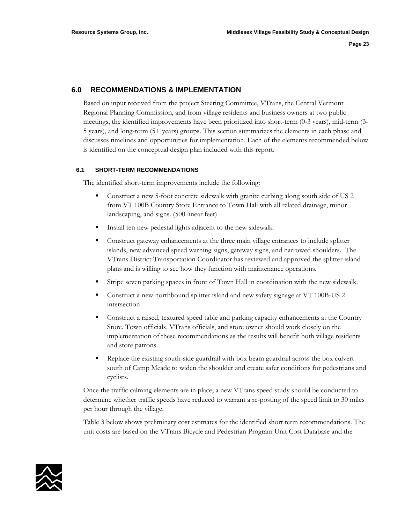#### **6.0 RECOMMENDATIONS & IMPLEMENTATION**

Based on input received from the project Steering Committee, VTrans, the Central Vermont Regional Planning Commission, and from village residents and business owners at two public meetings, the identified improvements have been prioritized into short-term (0-3 years), mid-term (3- 5 years), and long-term (5+ years) groups. This section summarizes the elements in each phase and discusses timelines and opportunities for implementation. Each of the elements recommended below is identified on the conceptual design plan included with this report.

#### **6.1 SHORT-TERM RECOMMENDATIONS**

The identified short-term improvements include the following:

- Construct a new 5-foot concrete sidewalk with granite curbing along south side of US 2 from VT 100B Country Store Entrance to Town Hall with all related drainage, minor landscaping, and signs. (500 linear feet)
- Install ten new pedestal lights adjacent to the new sidewalk.
- Construct gateway enhancements at the three main village entrances to include splitter islands, new advanced speed warning signs, gateway signs, and narrowed shoulders. The VTrans District Transportation Coordinator has reviewed and approved the splitter island plans and is willing to see how they function with maintenance operations.
- Stripe seven parking spaces in front of Town Hall in coordination with the new sidewalk.
- Construct a new northbound splitter island and new safety signage at VT 100B-US 2 intersection
- Construct a raised, textured speed table and parking capacity enhancements at the Country Store. Town officials, VTrans officials, and store owner should work closely on the implementation of these recommendations as the results will benefit both village residents and store patrons.
- Replace the existing south-side guardrail with box beam guardrail across the box culvert south of Camp Meade to widen the shoulder and create safer conditions for pedestrians and cyclists.

Once the traffic calming elements are in place, a new VTrans speed study should be conducted to determine whether traffic speeds have reduced to warrant a re-posting of the speed limit to 30 miles per hour through the village.

Table 3 below shows preliminary cost estimates for the identified short term recommendations. The unit costs are based on the VTrans Bicycle and Pedestrian Program Unit Cost Database and the

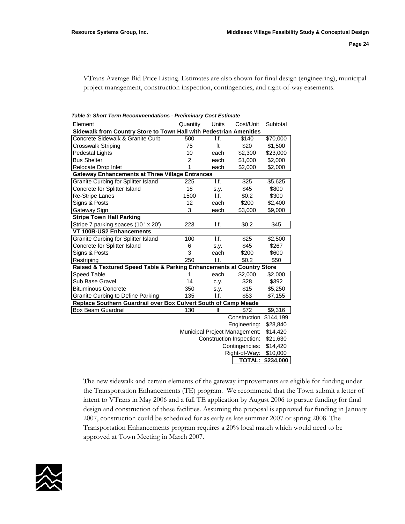VTrans Average Bid Price Listing. Estimates are also shown for final design (engineering), municipal project management, construction inspection, contingencies, and right-of-way easements.

| Element                                                               | Quantity                                  | Units | Cost/Unit     | Subtotal  |  |
|-----------------------------------------------------------------------|-------------------------------------------|-------|---------------|-----------|--|
| Sidewalk from Country Store to Town Hall with Pedestrian Amenities    |                                           |       |               |           |  |
| Concrete Sidewalk & Granite Curb                                      | 500                                       | I.f.  | \$140         | \$70,000  |  |
| Crosswalk Striping                                                    | 75                                        | ft    | \$20          | \$1,500   |  |
| <b>Pedestal Lights</b>                                                | 10                                        | each  | \$2,300       | \$23,000  |  |
| <b>Bus Shelter</b>                                                    | 2                                         | each  | \$1,000       | \$2,000   |  |
| Relocate Drop Inlet                                                   | 1                                         | each  | \$2,000       | \$2,000   |  |
| <b>Gateway Enhancements at Three Village Entrances</b>                |                                           |       |               |           |  |
| Granite Curbing for Splitter Island                                   | 225                                       | 1.f.  | \$25          | \$5,625   |  |
| Concrete for Splitter Island                                          | 18                                        | S.V.  | \$45          | \$800     |  |
| <b>Re-Stripe Lanes</b>                                                | 1500                                      | I.f.  | \$0.2         | \$300     |  |
| Signs & Posts                                                         | 12                                        | each  | \$200         | \$2,400   |  |
| Gateway Sign                                                          | 3                                         | each  | \$3,000       | \$9,000   |  |
| <b>Stripe Town Hall Parking</b>                                       |                                           |       |               |           |  |
| Stripe 7 parking spaces (10 ' x 20')                                  | 223                                       | I.f.  | \$0.2         | \$45      |  |
| VT 100B-US2 Enhancements                                              |                                           |       |               |           |  |
| Granite Curbing for Splitter Island                                   | 100                                       | 1.f.  | \$25          | \$2,500   |  |
| Concrete for Splitter Island                                          | 6                                         | s.y.  | \$45          | \$267     |  |
| Signs & Posts                                                         | 3                                         | each  | \$200         | \$600     |  |
| Restriping                                                            | 250                                       | I.f.  | \$0.2         | \$50      |  |
| Raised & Textured Speed Table & Parking Enhancements at Country Store |                                           |       |               |           |  |
| Speed Table                                                           | 1                                         | each  | \$2,000       | \$2,000   |  |
| Sub Base Gravel                                                       | 14                                        | c.y.  | \$28          | \$392     |  |
| <b>Bituminous Concrete</b>                                            | 350                                       | s.y.  | \$15          | \$5,250   |  |
| <b>Granite Curbing to Define Parking</b>                              | 135                                       | I.f.  | \$53          | \$7,155   |  |
| Replace Southern Guardrail over Box Culvert South of Camp Meade       |                                           |       |               |           |  |
| <b>Box Beam Guardrail</b>                                             | 130                                       | lf    | \$72          | \$9,316   |  |
|                                                                       |                                           |       | Construction  | \$144,199 |  |
|                                                                       |                                           |       | Engineering:  | \$28,840  |  |
|                                                                       | Municipal Project Management:<br>\$14,420 |       |               |           |  |
|                                                                       | Construction Inspection:<br>\$21,630      |       |               |           |  |
|                                                                       | Contingencies:<br>\$14,420                |       |               |           |  |
|                                                                       |                                           |       | Right-of-Way: | \$10,000  |  |
|                                                                       |                                           |       | <b>TOTAL:</b> | \$234,000 |  |

*Table 3: Short Term Recommendations - Preliminary Cost Estimate* 

The new sidewalk and certain elements of the gateway improvements are eligible for funding under the Transportation Enhancements (TE) program. We recommend that the Town submit a letter of intent to VTrans in May 2006 and a full TE application by August 2006 to pursue funding for final design and construction of these facilities. Assuming the proposal is approved for funding in January 2007, construction could be scheduled for as early as late summer 2007 or spring 2008. The Transportation Enhancements program requires a 20% local match which would need to be approved at Town Meeting in March 2007.